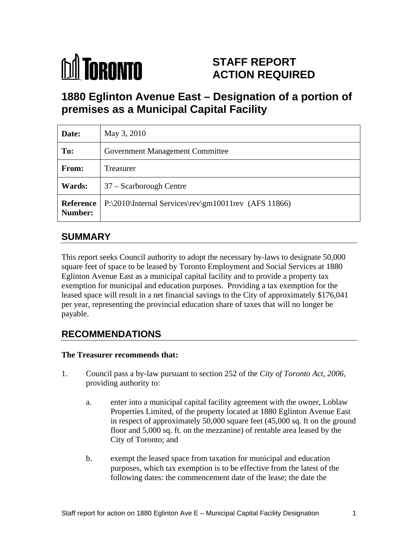

# **STAFF REPORT ACTION REQUIRED**

# **1880 Eglinton Avenue East – Designation of a portion of premises as a Municipal Capital Facility**

| Date:          | May 3, 2010                                                      |
|----------------|------------------------------------------------------------------|
| To:            | <b>Government Management Committee</b>                           |
| From:          | Treasurer                                                        |
| <b>Wards:</b>  | 37 – Scarborough Centre                                          |
| <b>Number:</b> | Reference   P:\2010\Internal Services\rev\gm10011rev (AFS 11866) |

# **SUMMARY**

This report seeks Council authority to adopt the necessary by-laws to designate 50,000 square feet of space to be leased by Toronto Employment and Social Services at 1880 Eglinton Avenue East as a municipal capital facility and to provide a property tax exemption for municipal and education purposes. Providing a tax exemption for the leased space will result in a net financial savings to the City of approximately \$176,041 per year, representing the provincial education share of taxes that will no longer be payable.

# **RECOMMENDATIONS**

#### **The Treasurer recommends that:**

- 1. Council pass a by-law pursuant to section 252 of the *City of Toronto Act, 2006,*  providing authority to:
	- a. enter into a municipal capital facility agreement with the owner, Loblaw Properties Limited, of the property located at 1880 Eglinton Avenue East in respect of approximately 50,000 square feet (45,000 sq. ft on the ground floor and 5,000 sq. ft. on the mezzanine) of rentable area leased by the City of Toronto; and
	- b. exempt the leased space from taxation for municipal and education purposes, which tax exemption is to be effective from the latest of the following dates: the commencement date of the lease; the date the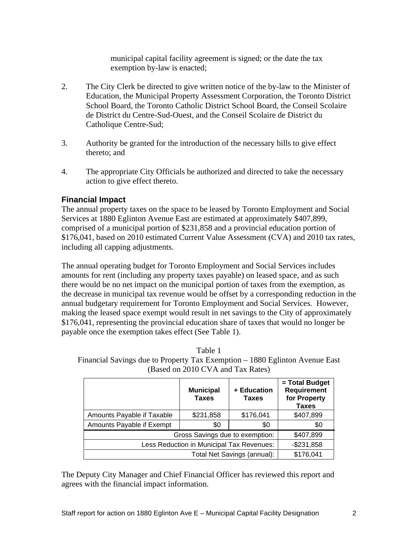municipal capital facility agreement is signed; or the date the tax exemption by-law is enacted;

- 2. The City Clerk be directed to give written notice of the by-law to the Minister of Education, the Municipal Property Assessment Corporation, the Toronto District School Board, the Toronto Catholic District School Board, the Conseil Scolaire de District du Centre-Sud-Ouest, and the Conseil Scolaire de District du Catholique Centre-Sud;
- 3. Authority be granted for the introduction of the necessary bills to give effect thereto; and
- 4. The appropriate City Officials be authorized and directed to take the necessary action to give effect thereto.

#### **Financial Impact**

The annual property taxes on the space to be leased by Toronto Employment and Social Services at 1880 Eglinton Avenue East are estimated at approximately \$407,899, comprised of a municipal portion of \$231,858 and a provincial education portion of \$176,041, based on 2010 estimated Current Value Assessment (CVA) and 2010 tax rates, including all capping adjustments.

The annual operating budget for Toronto Employment and Social Services includes amounts for rent (including any property taxes payable) on leased space, and as such there would be no net impact on the municipal portion of taxes from the exemption, as the decrease in municipal tax revenue would be offset by a corresponding reduction in the annual budgetary requirement for Toronto Employment and Social Services. However, making the leased space exempt would result in net savings to the City of approximately \$176,041, representing the provincial education share of taxes that would no longer be payable once the exemption takes effect (See Table 1).

| Table.                                                                      |
|-----------------------------------------------------------------------------|
| Financial Savings due to Property Tax Exemption – 1880 Eglinton Avenue East |
| $\mathbf{1}$<br>(Based on 2010 CVA and Tax Rates)                           |

|                                           | <b>Municipal</b><br><b>Taxes</b> | + Education<br>Taxes | = Total Budget<br>Requirement<br>for Property<br><b>Taxes</b> |
|-------------------------------------------|----------------------------------|----------------------|---------------------------------------------------------------|
| Amounts Payable if Taxable                | \$231,858                        | \$176,041            | \$407,899                                                     |
| Amounts Payable if Exempt                 | \$0                              |                      |                                                               |
| Gross Savings due to exemption: I         |                                  | \$407,899            |                                                               |
| Less Reduction in Municipal Tax Revenues: |                                  | $-$ \$231,858        |                                                               |
| Total Net Savings (annual):               |                                  | \$176,041            |                                                               |

The Deputy City Manager and Chief Financial Officer has reviewed this report and agrees with the financial impact information.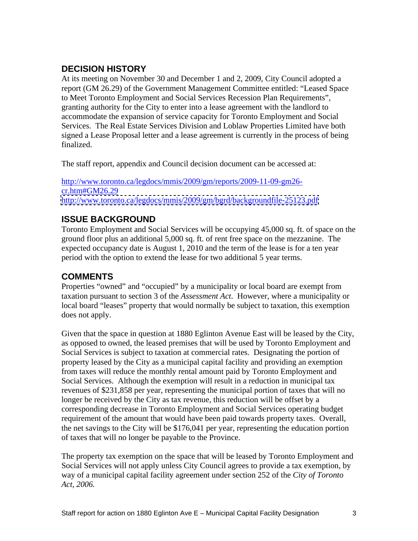### **DECISION HISTORY**

At its meeting on November 30 and December 1 and 2, 2009, City Council adopted a report (GM 26.29) of the Government Management Committee entitled: "Leased Space to Meet Toronto Employment and Social Services Recession Plan Requirements", granting authority for the City to enter into a lease agreement with the landlord to accommodate the expansion of service capacity for Toronto Employment and Social Services. The Real Estate Services Division and Loblaw Properties Limited have both signed a Lease Proposal letter and a lease agreement is currently in the process of being

finalized.<br>The staff report, appendix and Council decision document can be accessed at:

http://www.toronto.ca/legdocs/mmis/2009/gm/reports/2009-11-09-gm26  $c$ r.htm#GM26.29 <http://www.toronto.ca/legdocs/mmis/2009/gm/bgrd/backgroundfile-25123.pdf>

### **ISSUE BACKGROUND**

Toronto Employment and Social Services will be occupying 45,000 sq. ft. of space on the ground floor plus an additional 5,000 sq. ft. of rent free space on the mezzanine. The expected occupancy date is August 1, 2010 and the term of the lease is for a ten year period with the option to extend the lease for two additional 5 year terms.

## **COMMENTS**

Properties "owned" and "occupied" by a municipality or local board are exempt from taxation pursuant to section 3 of the *Assessment Act*. However, where a municipality or local board "leases" property that would normally be subject to taxation, this exemption does not apply.

Given that the space in question at 1880 Eglinton Avenue East will be leased by the City, as opposed to owned, the leased premises that will be used by Toronto Employment and Social Services is subject to taxation at commercial rates. Designating the portion of property leased by the City as a municipal capital facility and providing an exemption from taxes will reduce the monthly rental amount paid by Toronto Employment and Social Services. Although the exemption will result in a reduction in municipal tax revenues of \$231,858 per year, representing the municipal portion of taxes that will no longer be received by the City as tax revenue, this reduction will be offset by a corresponding decrease in Toronto Employment and Social Services operating budget requirement of the amount that would have been paid towards property taxes. Overall, the net savings to the City will be \$176,041 per year, representing the education portion of taxes that will no longer be payable to the Province.

The property tax exemption on the space that will be leased by Toronto Employment and Social Services will not apply unless City Council agrees to provide a tax exemption, by way of a municipal capital facility agreement under section 252 of the *City of Toronto Act, 2006.*